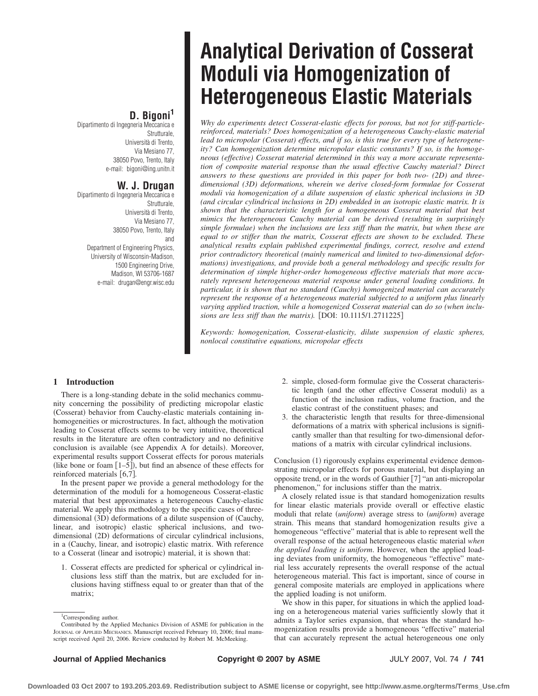# **D. Bigoni<sup>1</sup>**

Dipartimento di Ingegneria Meccanica e Strutturale, Università di Trento, Via Mesiano 77, 38050 Povo, Trento, Italy e-mail: bigoni@ing.unitn.it

# **W. J. Drugan**

Dipartimento di Ingegneria Meccanica e Strutturale, Università di Trento, Via Mesiano 77, 38050 Povo, Trento, Italy and Department of Engineering Physics, University of Wisconsin-Madison, 1500 Engineering Drive, Madison, WI 53706-1687 e-mail: drugan@engr.wisc.edu

# **Analytical Derivation of Cosserat Moduli via Homogenization of Heterogeneous Elastic Materials**

*Why do experiments detect Cosserat-elastic effects for porous, but not for stiff-particlereinforced, materials? Does homogenization of a heterogeneous Cauchy-elastic material lead to micropolar (Cosserat) effects, and if so, is this true for every type of heterogeneity? Can homogenization determine micropolar elastic constants? If so, is the homogeneous (effective) Cosserat material determined in this way a more accurate representation of composite material response than the usual effective Cauchy material? Direct answers to these questions are provided in this paper for both two- (2D) and threedimensional (3D) deformations, wherein we derive closed-form formulae for Cosserat moduli via homogenization of a dilute suspension of elastic spherical inclusions in 3D (and circular cylindrical inclusions in 2D) embedded in an isotropic elastic matrix. It is shown that the characteristic length for a homogeneous Cosserat material that best mimics the heterogeneous Cauchy material can be derived (resulting in surprisingly simple formulae) when the inclusions are less stiff than the matrix, but when these are equal to or stiffer than the matrix, Cosserat effects are shown to be excluded. These analytical results explain published experimental findings, correct, resolve and extend prior contradictory theoretical (mainly numerical and limited to two-dimensional deformations) investigations, and provide both a general methodology and specific results for determination of simple higher-order homogeneous effective materials that more accurately represent heterogeneous material response under general loading conditions. In particular, it is shown that no standard (Cauchy) homogenized material can accurately represent the response of a heterogeneous material subjected to a uniform plus linearly varying applied traction, while a homogenized Cosserat material* can *do so (when inclusions are less stiff than the matrix).* [DOI: 10.1115/1.2711225]

*Keywords: homogenization, Cosserat-elasticity, dilute suspension of elastic spheres, nonlocal constitutive equations, micropolar effects*

# **1 Introduction**

There is a long-standing debate in the solid mechanics community concerning the possibility of predicting micropolar elastic (Cosserat) behavior from Cauchy-elastic materials containing inhomogeneities or microstructures. In fact, although the motivation leading to Cosserat effects seems to be very intuitive, theoretical results in the literature are often contradictory and no definitive conclusion is available (see Appendix A for details). Moreover, experimental results support Cosserat effects for porous materials (like bone or foam  $[1-5]$ ), but find an absence of these effects for reinforced materials [6,7].

In the present paper we provide a general methodology for the determination of the moduli for a homogeneous Cosserat-elastic material that best approximates a heterogeneous Cauchy-elastic material. We apply this methodology to the specific cases of threedimensional (3D) deformations of a dilute suspension of (Cauchy, linear, and isotropic) elastic spherical inclusions, and twodimensional (2D) deformations of circular cylindrical inclusions, in a (Cauchy, linear, and isotropic) elastic matrix. With reference to a Cosserat (linear and isotropic) material, it is shown that:

1. Cosserat effects are predicted for spherical or cylindrical inclusions less stiff than the matrix, but are excluded for inclusions having stiffness equal to or greater than that of the matrix;

- 2. simple, closed-form formulae give the Cosserat characteristic length (and the other effective Cosserat moduli) as a function of the inclusion radius, volume fraction, and the elastic contrast of the constituent phases; and
- 3. the characteristic length that results for three-dimensional deformations of a matrix with spherical inclusions is significantly smaller than that resulting for two-dimensional deformations of a matrix with circular cylindrical inclusions.

Conclusion (1) rigorously explains experimental evidence demonstrating micropolar effects for porous material, but displaying an opposite trend, or in the words of Gauthier [7] "an anti-micropolar phenomenon," for inclusions stiffer than the matrix.

A closely related issue is that standard homogenization results for linear elastic materials provide overall or effective elastic moduli that relate *(uniform)* average stress to *(uniform)* average strain. This means that standard homogenization results give a homogeneous "effective" material that is able to represent well the overall response of the actual heterogeneous elastic material *when the applied loading is uniform*. However, when the applied loading deviates from uniformity, the homogeneous "effective" material less accurately represents the overall response of the actual heterogeneous material. This fact is important, since of course in general composite materials are employed in applications where the applied loading is not uniform.

We show in this paper, for situations in which the applied loading on a heterogeneous material varies sufficiently slowly that it admits a Taylor series expansion, that whereas the standard homogenization results provide a homogeneous "effective" material that can accurately represent the actual heterogeneous one only

<sup>&</sup>lt;sup>1</sup>Corresponding author.

Contributed by the Applied Mechanics Division of ASME for publication in the JOURNAL OF APPLIED MECHANICS. Manuscript received February 10, 2006; final manuscript received April 20, 2006. Review conducted by Robert M. McMeeking.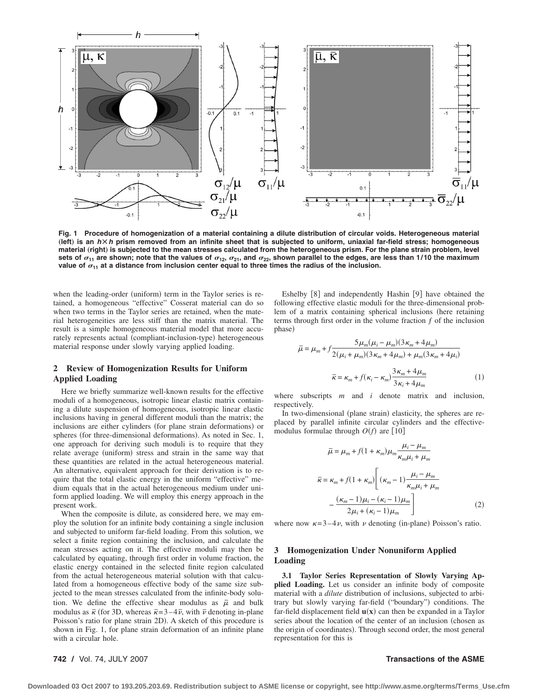

**Fig. 1 Procedure of homogenization of a material containing a dilute distribution of circular voids. Heterogeneous material**  $\frac{1}{10}$  is an  $h \times h$  prism removed from an infinite sheet that is subjected to uniform, uniaxial far-field stress; homogeneous material (right) is subjected to the mean stresses calculated from the heterogeneous prism. For the plane strain problem, level sets of  $\sigma_{11}$  are shown; note that the values of  $\sigma_{12}$ ,  $\sigma_{21}$ , and  $\sigma_{22}$ , shown parallel to the edges, are less than 1/10 the maximum value of  $\sigma_{11}$  at a distance from inclusion center equal to three times the radius of the inclusion.

when the leading-order (uniform) term in the Taylor series is retained, a homogeneous "effective" Cosserat material can do so when two terms in the Taylor series are retained, when the material heterogeneities are less stiff than the matrix material. The result is a simple homogeneous material model that more accurately represents actual (compliant-inclusion-type) heterogeneous material response under slowly varying applied loading.

# **2 Review of Homogenization Results for Uniform Applied Loading**

Here we briefly summarize well-known results for the effective moduli of a homogeneous, isotropic linear elastic matrix containing a dilute suspension of homogeneous, isotropic linear elastic inclusions having in general different moduli than the matrix; the inclusions are either cylinders (for plane strain deformations) or spheres (for three-dimensional deformations). As noted in Sec. 1, one approach for deriving such moduli is to require that they relate average (uniform) stress and strain in the same way that these quantities are related in the actual heterogeneous material. An alternative, equivalent approach for their derivation is to require that the total elastic energy in the uniform "effective" medium equals that in the actual heterogeneous medium under uniform applied loading. We will employ this energy approach in the present work.

When the composite is dilute, as considered here, we may employ the solution for an infinite body containing a single inclusion and subjected to uniform far-field loading. From this solution, we select a finite region containing the inclusion, and calculate the mean stresses acting on it. The effective moduli may then be calculated by equating, through first order in volume fraction, the elastic energy contained in the selected finite region calculated from the actual heterogeneous material solution with that calculated from a homogeneous effective body of the same size subjected to the mean stresses calculated from the infinite-body solution. We define the effective shear modulus as  $\bar{\mu}$  and bulk modulus as  $\bar{\kappa}$  (for 3D, whereas  $\bar{\kappa} = 3 - 4\bar{\nu}$ , with  $\bar{\nu}$  denoting in-plane Poisson's ratio for plane strain 2D. A sketch of this procedure is shown in Fig. 1, for plane strain deformation of an infinite plane with a circular hole.

Eshelby [8] and independently Hashin [9] have obtained the following effective elastic moduli for the three-dimensional problem of a matrix containing spherical inclusions (here retaining terms through first order in the volume fraction  $f$  of the inclusion phase

$$
\bar{\mu} = \mu_m + f \frac{5\mu_m(\mu_i - \mu_m)(3\kappa_m + 4\mu_m)}{2(\mu_i + \mu_m)(3\kappa_m + 4\mu_m) + \mu_m(3\kappa_m + 4\mu_i)}
$$

$$
\bar{\kappa} = \kappa_m + f(\kappa_i - \kappa_m) \frac{3\kappa_m + 4\mu_m}{3\kappa_i + 4\mu_m} \tag{1}
$$

where subscripts *m* and *i* denote matrix and inclusion, respectively.

In two-dimensional (plane strain) elasticity, the spheres are replaced by parallel infinite circular cylinders and the effectivemodulus formulae through  $O(f)$  are  $[10]$ 

$$
\overline{\mu} = \mu_m + f(1 + \kappa_m)\mu_m \frac{\mu_i - \mu_m}{\kappa_m \mu_i + \mu_m}
$$

$$
\overline{\kappa} = \kappa_m + f(1 + \kappa_m) \left[ (\kappa_m - 1) \frac{\mu_i - \mu_m}{\kappa_m \mu_i + \mu_m} - \frac{(\kappa_m - 1)\mu_i - (\kappa_i - 1)\mu_m}{2\mu_i + (\kappa_i - 1)\mu_m} \right] \tag{2}
$$

where now  $\kappa = 3-4\nu$ , with  $\nu$  denoting (in-plane) Poisson's ratio.

# **3 Homogenization Under Nonuniform Applied Loading**

**3.1 Taylor Series Representation of Slowly Varying Applied Loading.** Let us consider an infinite body of composite material with a *dilute* distribution of inclusions, subjected to arbitrary but slowly varying far-field ("boundary") conditions. The far-field displacement field  $\mathbf{u}(\mathbf{x})$  can then be expanded in a Taylor series about the location of the center of an inclusion (chosen as the origin of coordinates). Through second order, the most general representation for this is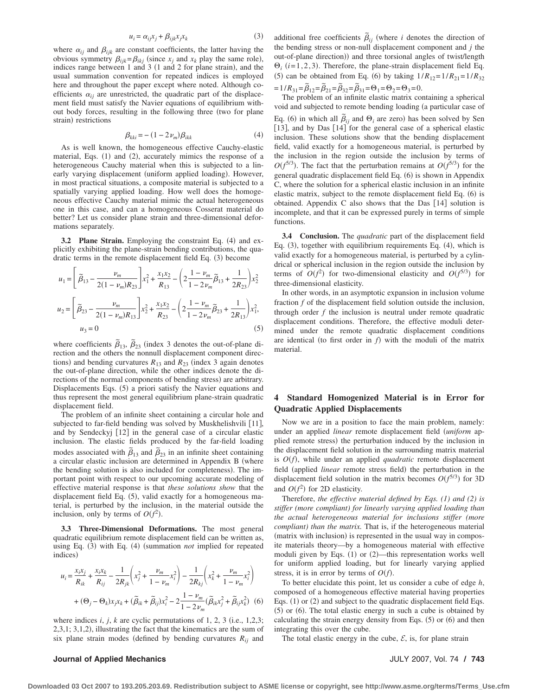$$
u_i = \alpha_{ij} x_j + \beta_{ijk} x_j x_k \tag{3}
$$

where  $\alpha_{ij}$  and  $\beta_{ijk}$  are constant coefficients, the latter having the obvious symmetry  $\beta_{ijk} = \beta_{ikj}$  (since  $x_j$  and  $x_k$  play the same role), indices range between  $1$  and  $3$  ( $1$  and  $2$  for plane strain), and the usual summation convention for repeated indices is employed here and throughout the paper except where noted. Although coefficients  $\alpha_{ij}$  are unrestricted, the quadratic part of the displacement field must satisfy the Navier equations of equilibrium without body forces, resulting in the following three (two for plane strain) restrictions

$$
\beta_{kki} = -(1 - 2\nu_m)\beta_{ikk} \tag{4}
$$

As is well known, the homogeneous effective Cauchy-elastic material, Eqs.  $(1)$  and  $(2)$ , accurately mimics the response of a heterogeneous Cauchy material when this is subjected to a linearly varying displacement (uniform applied loading). However, in most practical situations, a composite material is subjected to a spatially varying applied loading. How well does the homogeneous effective Cauchy material mimic the actual heterogeneous one in this case, and can a homogeneous Cosserat material do better? Let us consider plane strain and three-dimensional deformations separately.

**3.2 Plane Strain.** Employing the constraint Eq. (4) and explicitly exhibiting the plane-strain bending contributions, the quadratic terms in the remote displacement field Eq. (3) become

$$
u_1 = \left[\tilde{\beta}_{13} - \frac{\nu_m}{2(1 - \nu_m)R_{23}}\right]x_1^2 + \frac{x_1x_2}{R_{13}} - \left(2\frac{1 - \nu_m}{1 - 2\nu_m}\tilde{\beta}_{13} + \frac{1}{2R_{23}}\right)x_2^2
$$
  

$$
u_2 = \left[\tilde{\beta}_{23} - \frac{\nu_m}{2(1 - \nu_m)R_{13}}\right]x_2^2 + \frac{x_1x_2}{R_{23}} - \left(2\frac{1 - \nu_m}{1 - 2\nu_m}\tilde{\beta}_{23} + \frac{1}{2R_{13}}\right)x_1^2,
$$
  

$$
u_3 = 0
$$
 (5)

where coefficients  $\tilde{\beta}_{13}$ ,  $\tilde{\beta}_{23}$  (index 3 denotes the out-of-plane direction and the others the nonnull displacement component directions) and bending curvatures  $R_{13}$  and  $R_{23}$  (index 3 again denotes the out-of-plane direction, while the other indices denote the directions of the normal components of bending stress) are arbitrary. Displacements Eqs. (5) a priori satisfy the Navier equations and thus represent the most general equilibrium plane-strain quadratic displacement field.

The problem of an infinite sheet containing a circular hole and subjected to far-field bending was solved by Muskhelishvili [11], and by Sendeckyj [12] in the general case of a circular elastic inclusion. The elastic fields produced by the far-field loading modes associated with  $\tilde{\beta}_{13}$  and  $\tilde{\beta}_{23}$  in an infinite sheet containing a circular elastic inclusion are determined in Appendix B (where the bending solution is also included for completeness). The important point with respect to our upcoming accurate modeling of effective material response is that *these solutions show* that the displacement field Eq.  $(5)$ , valid exactly for a homogeneous material, is perturbed by the inclusion, in the material outside the inclusion, only by terms of  $O(f^2)$ .

**3.3 Three-Dimensional Deformations.** The most general quadratic equilibrium remote displacement field can be written as, using Eq. (3) with Eq. (4) (summation *not* implied for repeated indices

$$
u_{i} = \frac{x_{i}x_{j}}{R_{ik}} + \frac{x_{i}x_{k}}{R_{ij}} - \frac{1}{2R_{jk}} \left( x_{j}^{2} + \frac{\nu_{m}}{1 - \nu_{m}} x_{i}^{2} \right) - \frac{1}{2R_{kj}} \left( x_{k}^{2} + \frac{\nu_{m}}{1 - \nu_{m}} x_{i}^{2} \right)
$$
  
+ 
$$
(\Theta_{j} - \Theta_{k}) x_{j}x_{k} + (\widetilde{\beta}_{ik} + \widetilde{\beta}_{ij}) x_{i}^{2} - 2 \frac{1 - \nu_{m}}{1 - 2\nu_{m}} (\widetilde{\beta}_{ik} x_{j}^{2} + \widetilde{\beta}_{ij} x_{k}^{2})
$$
 (6)

where indices  $i$ ,  $j$ ,  $k$  are cyclic permutations of 1, 2, 3 (i.e., 1,2,3; 2,3,1; 3,1,2, illustrating the fact that the kinematics are the sum of six plane strain modes (defined by bending curvatures  $R_{ij}$  and

additional free coefficients  $\tilde{\beta}_{ij}$  (where *i* denotes the direction of the bending stress or non-null displacement component and *j* the out-of-plane direction)) and three torsional angles of twist/length  $\Theta_i$  (*i*=1,2,3). Therefore, the plane-strain displacement field Eq. (5) can be obtained from Eq. (6) by taking  $1/R_{12}=1/R_{21}=1/R_{32}$  $=1/R_{31} = \tilde{\beta}_{12} = \tilde{\beta}_{21} = \tilde{\beta}_{32} = \tilde{\beta}_{31} = \Theta_1 = \Theta_2 = \Theta_3 = 0.$ 

The problem of an infinite elastic matrix containing a spherical void and subjected to remote bending loading (a particular case of Eq. (6) in which all  $\tilde{\beta}_{ij}$  and  $\Theta_i$  are zero) has been solved by Sen [13], and by Das [14] for the general case of a spherical elastic inclusion. These solutions show that the bending displacement field, valid exactly for a homogeneous material, is perturbed by the inclusion in the region outside the inclusion by terms of  $O(f^{5/3})$ . The fact that the perturbation remains at  $O(f^{5/3})$  for the general quadratic displacement field Eq. (6) is shown in Appendix C, where the solution for a spherical elastic inclusion in an infinite elastic matrix, subject to the remote displacement field Eq.  $(6)$  is obtained. Appendix C also shows that the Das [14] solution is incomplete, and that it can be expressed purely in terms of simple functions.

**3.4 Conclusion.** The *quadratic* part of the displacement field Eq.  $(3)$ , together with equilibrium requirements Eq.  $(4)$ , which is valid exactly for a homogeneous material, is perturbed by a cylindrical or spherical inclusion in the region outside the inclusion by terms of  $O(f^2)$  for two-dimensional elasticity and  $O(f^{5/3})$  for three-dimensional elasticity.

In other words, in an asymptotic expansion in inclusion volume fraction *f* of the displacement field solution outside the inclusion, through order *f* the inclusion is neutral under remote quadratic displacement conditions. Therefore, the effective moduli determined under the remote quadratic displacement conditions are identical (to first order in  $f$ ) with the moduli of the matrix material.

# **4 Standard Homogenized Material is in Error for Quadratic Applied Displacements**

Now we are in a position to face the main problem, namely: under an applied *linear* remote displacement field *uniform* applied remote stress) the perturbation induced by the inclusion in the displacement field solution in the surrounding matrix material is  $O(f)$ , while under an applied *quadratic* remote displacement field (applied *linear* remote stress field) the perturbation in the displacement field solution in the matrix becomes  $O(f^{5/3})$  for 3D and  $O(f^2)$  for 2D elasticity.

Therefore, *the effective material defined by Eqs. (1) and (2) is stiffer (more compliant) for linearly varying applied loading than the actual heterogeneous material for inclusions stiffer (more compliant) than the matrix.* That is, if the heterogeneous material (matrix with inclusion) is represented in the usual way in composite materials theory—by a homogeneous material with effective moduli given by Eqs.  $(1)$  or  $(2)$ —this representation works well for uniform applied loading, but for linearly varying applied stress, it is in error by terms of  $O(f)$ .

To better elucidate this point, let us consider a cube of edge *h*, composed of a homogeneous effective material having properties Eqs.  $(1)$  or  $(2)$  and subject to the quadratic displacement field Eqs.  $(5)$  or  $(6)$ . The total elastic energy in such a cube is obtained by calculating the strain energy density from Eqs.  $(5)$  or  $(6)$  and then integrating this over the cube.

The total elastic energy in the cube,  $\mathcal{E}$ , is, for plane strain

### **Journal of Applied Mechanics** JULY 2007, Vol. 74 **/ 743**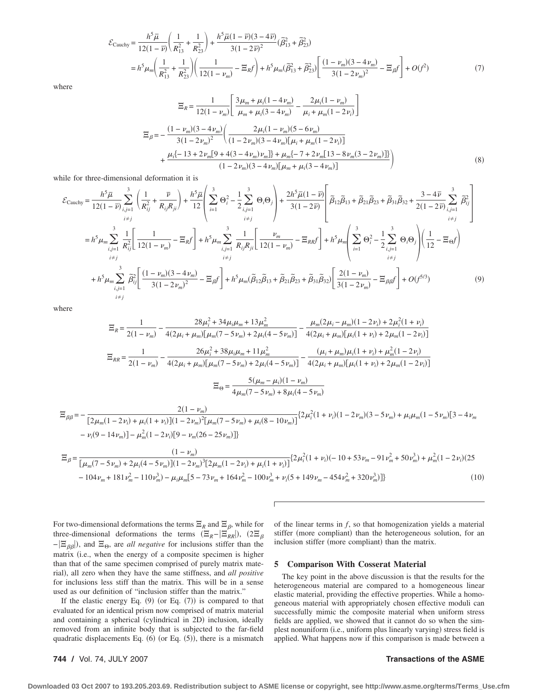$$
\mathcal{E}_{\text{Cauchy}} = \frac{h^5 \overline{\mu}}{12(1-\overline{\nu})} \left( \frac{1}{R_{13}^2} + \frac{1}{R_{23}^2} \right) + \frac{h^5 \overline{\mu} (1-\overline{\nu}) (3-4\overline{\nu})}{3(1-2\overline{\nu})^2} (\widetilde{\beta}_{13}^2 + \widetilde{\beta}_{23}^2)
$$
  
\n
$$
= h^5 \mu_m \left( \frac{1}{R_{13}^2} + \frac{1}{R_{23}^2} \right) \left( \frac{1}{12(1-\nu_m)} - \Xi_R f \right) + h^5 \mu_m (\widetilde{\beta}_{13}^2 + \widetilde{\beta}_{23}^2) \left[ \frac{(1-\nu_m)(3-4\nu_m)}{3(1-2\nu_m)^2} - \Xi_\beta f \right] + O(f^2)
$$
(7)

where

$$
\Xi_{R} = \frac{1}{12(1 - \nu_{m})} \left[ \frac{3\mu_{m} + \mu_{i}(1 - 4\nu_{m})}{\mu_{m} + \mu_{i}(3 - 4\nu_{m})} - \frac{2\mu_{i}(1 - \nu_{m})}{\mu_{i} + \mu_{m}(1 - 2\nu_{i})} \right]
$$
\n
$$
\Xi_{\beta} = -\frac{(1 - \nu_{m})(3 - 4\nu_{m})}{3(1 - 2\nu_{m})^{2}} \left( \frac{2\mu_{i}(1 - \nu_{m})(5 - 6\nu_{m})}{(1 - 2\nu_{m})(3 - 4\nu_{m})[\mu_{i} + \mu_{m}(1 - 2\nu_{i})]} + \frac{\mu_{i}\{-13 + 2\nu_{m}[9 + 4(3 - 4\nu_{m})\nu_{m}]\} + \mu_{m}\{-7 + 2\nu_{m}[13 - 8\nu_{m}(3 - 2\nu_{m})]\}}{(1 - 2\nu_{m})(3 - 4\nu_{m})[\mu_{m} + \mu_{i}(3 - 4\nu_{m})]}
$$
\n(8)

while for three-dimensional deformation it is

$$
\mathcal{E}_{\text{Cauchy}} = \frac{h^5 \bar{\mu}}{12(1-\bar{\nu})} \sum_{\substack{i,j=1 \ i \neq j}}^3 \left( \frac{1}{R_{ij}^2} + \frac{\bar{\nu}}{R_{ij}R_{ji}} \right) + \frac{h^5 \bar{\mu}}{12} \left( \sum_{i=1}^3 \Theta_i^2 - \frac{1}{2} \sum_{i,j=1}^3 \Theta_i \Theta_j \right) + \frac{2h^5 \bar{\mu}(1-\bar{\nu})}{3(1-2\bar{\nu})} \left[ \tilde{\beta}_{12} \tilde{\beta}_{13} + \tilde{\beta}_{21} \tilde{\beta}_{23} + \tilde{\beta}_{31} \tilde{\beta}_{32} + \frac{3-4\bar{\nu}}{2(1-2\bar{\nu})} \sum_{\substack{i,j=1 \ i \neq j}}^3 \tilde{\beta}_{ij}^2 \right]
$$
  
\n
$$
= h^5 \mu_m \sum_{\substack{i,j=1 \ i \neq j}}^3 \frac{1}{R_{ij}^2} \left[ \frac{1}{12(1-\nu_m)} - \Xi_R f \right] + h^5 \mu_m \sum_{\substack{i,j=1 \ i \neq j}}^3 \frac{1}{R_{ij}R_{ji}} \left[ \frac{\nu_m}{12(1-\nu_m)} - \Xi_R f \right] + h^5 \mu_m \left( \sum_{i=1}^3 \Theta_i^2 - \frac{1}{2} \sum_{\substack{i,j=1 \ i \neq j}}^3 \Theta_i \Theta_j \right) \left( \frac{1}{12} - \Xi_{\Theta} f \right)
$$
  
\n
$$
+ h^5 \mu_m \sum_{\substack{i,j=1 \ i \neq j}}^3 \tilde{\beta}_{ij}^2 \left[ \frac{(1-\nu_m)(3-4\nu_m)}{3(1-2\nu_m)^2} - \Xi_{\beta} f \right] + h^5 \mu_m (\tilde{\beta}_{12}\tilde{\beta}_{13} + \tilde{\beta}_{21}\tilde{\beta}_{23} + \tilde{\beta}_{31}\tilde{\beta}_{32}) \left[ \frac{2(1-\nu_m)}{3(1-2\nu_m)} - \Xi_{\beta\beta} f \right] + O(f^{5/3})
$$
(9)

where

$$
\Xi_{R} = \frac{1}{2(1 - \nu_{m})} - \frac{28\mu_{i}^{2} + 34\mu_{i}\mu_{m} + 13\mu_{m}^{2}}{4(2\mu_{i} + \mu_{m})[\mu_{m}(7 - 5\nu_{m}) + 2\mu_{i}(4 - 5\nu_{m})]} - \frac{\mu_{m}(2\mu_{i} - \mu_{m})(1 - 2\nu_{i}) + 2\mu_{i}^{2}(1 + \nu_{i})}{4(2\mu_{i} + \mu_{m})[\mu_{i}(1 + \nu_{i}) + 2\mu_{m}(1 - 2\nu_{i})]}
$$

$$
\Xi_{RR} = \frac{1}{2(1 - \nu_{m})} - \frac{26\mu_{i}^{2} + 38\mu_{i}\mu_{m} + 11\mu_{m}^{2}}{4(2\mu_{i} + \mu_{m})[\mu_{m}(7 - 5\nu_{m}) + 2\mu_{i}(4 - 5\nu_{m})]} - \frac{(\mu_{i} + \mu_{m})\mu_{i}(1 + \nu_{i}) + \mu_{m}^{2}(1 - 2\nu_{i})}{4(2\mu_{i} + \mu_{m})[\mu_{i}(1 + \nu_{i}) + 2\mu_{m}(1 - 2\nu_{i})]}
$$

$$
\Xi_{\Theta} = \frac{5(\mu_{m} - \mu_{i})(1 - \nu_{m})}{4\mu_{m}(7 - 5\nu_{m}) + 8\mu_{i}(4 - 5\nu_{m})}
$$

$$
\Xi_{\beta\beta} = -\frac{2(1 - \nu_m)}{[2\mu_m(1 - 2\nu_i) + \mu_i(1 + \nu_i)](1 - 2\nu_m)^2[\mu_m(7 - 5\nu_m) + \mu_i(8 - 10\nu_m)]}\{2\mu_i^2(1 + \nu_i)(1 - 2\nu_m)(3 - 5\nu_m) + \mu_i\mu_m(1 - 5\nu_m)[3 - 4\nu_m - \nu_i(9 - 14\nu_m)] - \mu_m^2(1 - 2\nu_i)[9 - \nu_m(26 - 25\nu_m)]\}
$$

$$
\Xi_{\beta} = \frac{(1 - \nu_m)}{\left[\mu_m (7 - 5\nu_m) + 2\mu_i (4 - 5\nu_m)\right] (1 - 2\nu_m)^3 \left[2\mu_m (1 - 2\nu_i) + \mu_i (1 + \nu_i)\right]} \left\{2\mu_i^2 (1 + \nu_i)(-10 + 53\nu_m - 91\nu_m^2 + 50\nu_m^3) + \mu_m^2 (1 - 2\nu_i)(25 - 104\nu_m + 181\nu_m^2 - 110\nu_m^3) - \mu_i \mu_m [5 - 73\nu_m + 164\nu_m^2 - 100\nu_m^3 + \nu_i (5 + 149\nu_m - 454\nu_m^2 + 320\nu_m^3)]\right\} \tag{10}
$$

For two-dimensional deformations the terms  $\Xi_R$  and  $\Xi_\beta$ , while for three-dimensional deformations the terms  $(\Xi_R - |\Xi_{RR}|)$ ,  $(2\Xi_B$  $|\Xi_{\beta\beta}|$ , and  $\Xi_{\Theta}$ , are *all negative* for inclusions stiffer than the matrix (i.e., when the energy of a composite specimen is higher than that of the same specimen comprised of purely matrix material, all zero when they have the same stiffness, and *all positive* for inclusions less stiff than the matrix. This will be in a sense used as our definition of "inclusion stiffer than the matrix."

If the elastic energy Eq.  $(9)$  (or Eq.  $(7)$ ) is compared to that evaluated for an identical prism now comprised of matrix material and containing a spherical (cylindrical in 2D) inclusion, ideally removed from an infinite body that is subjected to the far-field quadratic displacements Eq.  $(6)$  (or Eq.  $(5)$ ), there is a mismatch of the linear terms in *f*, so that homogenization yields a material stiffer (more compliant) than the heterogeneous solution, for an inclusion stiffer (more compliant) than the matrix.

### **5 Comparison With Cosserat Material**

The key point in the above discussion is that the results for the heterogeneous material are compared to a homogeneous linear elastic material, providing the effective properties. While a homogeneous material with appropriately chosen effective moduli can successfully mimic the composite material when uniform stress fields are applied, we showed that it cannot do so when the simplest nonuniform (i.e., uniform plus linearly varying) stress field is applied. What happens now if this comparison is made between a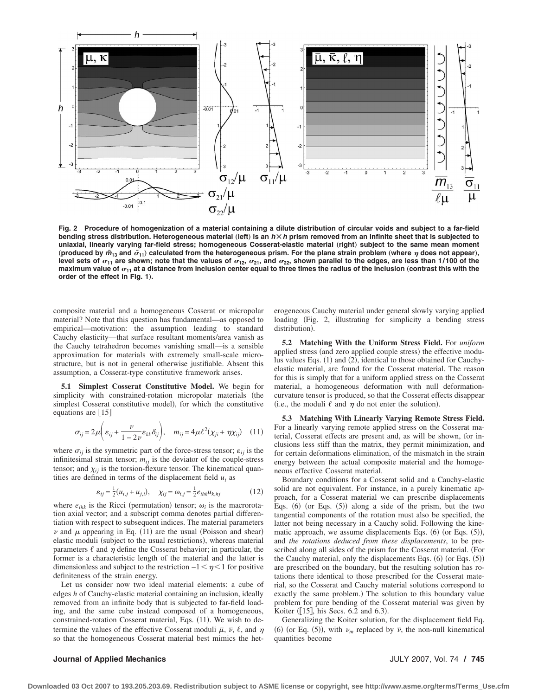

**Fig. 2 Procedure of homogenization of a material containing a dilute distribution of circular voids and subject to a far-field bending stress distribution. Heterogeneous material (left) is an**  $h \times h$  **prism removed from an infinite sheet that is subjected to uniaxial, linearly varying far-field stress; homogeneous Cosserat-elastic material** "**right**… **subject to the same mean moment** (produced by  $\bar{m}_{13}$  and  $\bar{\sigma}_{11}$ ) calculated from the heterogeneous prism. For the plane strain problem (where  $\eta$  does not appear), level sets of  $\sigma_{11}$  are shown; note that the values of  $\sigma_{12}$ ,  $\sigma_{21}$ , and  $\sigma_{22}$ , shown parallel to the edges, are less than 1/100 of the **maximum value of <sup>11</sup> at a distance from inclusion center equal to three times the radius of the inclusion** "**contrast this with the order of the effect in Fig. 1**…**.**

composite material and a homogeneous Cosserat or micropolar material? Note that this question has fundamental—as opposed to empirical—motivation: the assumption leading to standard Cauchy elasticity—that surface resultant moments/area vanish as the Cauchy tetrahedron becomes vanishing small—is a sensible approximation for materials with extremely small-scale microstructure, but is not in general otherwise justifiable. Absent this assumption, a Cosserat-type constitutive framework arises.

**5.1 Simplest Cosserat Constitutive Model.** We begin for simplicity with constrained-rotation micropolar materials (the simplest Cosserat constitutive model, for which the constitutive equations are [15]

$$
\sigma_{ij} = 2\mu \left( \varepsilon_{ij} + \frac{\nu}{1 - 2\nu} \varepsilon_{kk} \delta_{ij} \right), \quad m_{ij} = 4\mu \ell^2 (\chi_{ji} + \eta \chi_{ij}) \quad (11)
$$

where  $\sigma_{ij}$  is the symmetric part of the force-stress tensor;  $\varepsilon_{ij}$  is the infinitesimal strain tensor;  $m_{ij}$  is the deviator of the couple-stress tensor; and  $\chi_{ii}$  is the torsion-flexure tensor. The kinematical quantities are defined in terms of the displacement field  $u_i$  as

$$
\varepsilon_{ij} = \frac{1}{2}(u_{i,j} + u_{j,i}), \quad \chi_{ij} = \omega_{i,j} = \frac{1}{2}e_{ihk}u_{k,hj}
$$
(12)

where  $e_{ihk}$  is the Ricci (permutation) tensor;  $\omega_i$  is the macrorotation axial vector; and a subscript comma denotes partial differentiation with respect to subsequent indices. The material parameters  $\nu$  and  $\mu$  appearing in Eq. (11) are the usual (Poisson and shear) elastic moduli (subject to the usual restrictions), whereas material parameters  $\ell$  and  $\eta$  define the Cosserat behavior; in particular, the former is a characteristic length of the material and the latter is dimensionless and subject to the restriction  $-1 < \eta < 1$  for positive definiteness of the strain energy.

Let us consider now two ideal material elements: a cube of edges *h* of Cauchy-elastic material containing an inclusion, ideally removed from an infinite body that is subjected to far-field loading, and the same cube instead composed of a homogeneous, constrained-rotation Cosserat material, Eqs.  $(11)$ . We wish to determine the values of the effective Cosserat moduli  $\bar{\mu}$ ,  $\bar{\nu}$ ,  $\ell$ , and  $\eta$ so that the homogeneous Cosserat material best mimics the het-

erogeneous Cauchy material under general slowly varying applied loading (Fig. 2, illustrating for simplicity a bending stress distribution).

**5.2 Matching With the Uniform Stress Field.** For *uniform* applied stress (and zero applied couple stress) the effective modulus values Eqs.  $(1)$  and  $(2)$ , identical to those obtained for Cauchyelastic material, are found for the Cosserat material. The reason for this is simply that for a uniform applied stress on the Cosserat material, a homogeneous deformation with null deformationcurvature tensor is produced, so that the Cosserat effects disappear (i.e., the moduli  $\ell$  and  $\eta$  do not enter the solution).

**5.3 Matching With Linearly Varying Remote Stress Field.** For a linearly varying remote applied stress on the Cosserat material, Cosserat effects are present and, as will be shown, for inclusions less stiff than the matrix, they permit minimization, and for certain deformations elimination, of the mismatch in the strain energy between the actual composite material and the homogeneous effective Cosserat material.

Boundary conditions for a Cosserat solid and a Cauchy-elastic solid are not equivalent. For instance, in a purely kinematic approach, for a Cosserat material we can prescribe displacements Eqs.  $(6)$  (or Eqs.  $(5)$ ) along a side of the prism, but the two tangential components of the rotation must also be specified, the latter not being necessary in a Cauchy solid. Following the kinematic approach, we assume displacements Eqs.  $(6)$  (or Eqs.  $(5)$ ), and *the rotations deduced from these displacements*, to be prescribed along all sides of the prism for the Cosserat material. (For the Cauchy material, only the displacements Eqs.  $(6)$  (or Eqs.  $(5)$ ) are prescribed on the boundary, but the resulting solution has rotations there identical to those prescribed for the Cosserat material, so the Cosserat and Cauchy material solutions correspond to exactly the same problem.) The solution to this boundary value problem for pure bending of the Cosserat material was given by Koiter ([15], his Secs. 6.2 and 6.3).

Generalizing the Koiter solution, for the displacement field Eq. 66 (or Eq. (5)), with  $\nu_m$  replaced by  $\bar{\nu}$ , the non-null kinematical quantities become

#### **Journal of Applied Mechanics** JULY 2007, Vol. 74 **/ 745**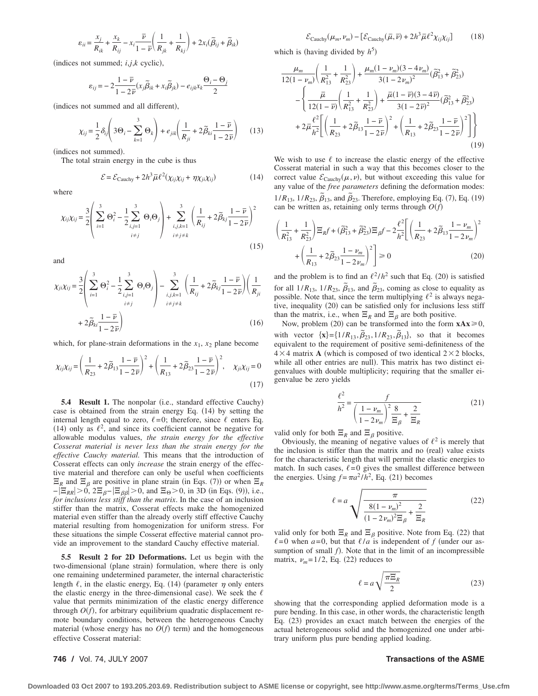$$
\varepsilon_{ii} = \frac{x_j}{R_{ik}} + \frac{x_k}{R_{ij}} - x_i \frac{\overline{\nu}}{1 - \overline{\nu}} \left( \frac{1}{R_{jk}} + \frac{1}{R_{kj}} \right) + 2 x_i (\widetilde{\beta}_{ij} + \widetilde{\beta}_{ik})
$$

 $(indices not summed; *i*, *j*, *k* cyclic),$ 

$$
j = -2\frac{1-\overline{\nu}}{1-2\overline{\nu}}(x_j\widetilde{\beta}_{ik} + x_i\widetilde{\beta}_{jk}) - e_{ijk}x_k\frac{\Theta_i - \Theta_j}{2}
$$

(indices not summed and all different),

$$
\chi_{ij} = \frac{1}{2} \delta_{ij} \left( 3\Theta_i - \sum_{k=1}^3 \Theta_k \right) + e_{jik} \left( \frac{1}{R_{ji}} + 2\tilde{\beta}_{ki} \frac{1 - \overline{\nu}}{1 - 2\overline{\nu}} \right) \tag{13}
$$

(indices not summed).

 $\varepsilon_i$ 

The total strain energy in the cube is thus

$$
\mathcal{E} = \mathcal{E}_{\text{Cauchy}} + 2h^3 \bar{\mu} \ell^2 (\chi_{ij} \chi_{ij} + \eta \chi_{ji} \chi_{ij}) \tag{14}
$$

where

$$
\chi_{ij}\chi_{ij} = \frac{3}{2} \left( \sum_{i=1}^{3} \Theta_{i}^{2} - \frac{1}{2} \sum_{\substack{i,j=1 \ i \neq j}}^{3} \Theta_{i} \Theta_{j} \right) + \sum_{\substack{i,j,k=1 \ i \neq j \neq k}}^{3} \left( \frac{1}{R_{ij}} + 2\tilde{\beta}_{kj} \frac{1-\overline{\nu}}{1-2\overline{\nu}} \right)^{2}
$$
\n(15)

and

$$
\chi_{ji}\chi_{ij} = \frac{3}{2} \left( \sum_{i=1}^{3} \Theta_{i}^{2} - \frac{1}{2} \sum_{\substack{i,j=1 \ i \neq j}}^{3} \Theta_{i} \Theta_{j} \right) - \sum_{\substack{i,j,k=1 \ i \neq j \neq k}}^{3} \left( \frac{1}{R_{ij}} + 2 \widetilde{\beta}_{kj} \frac{1 - \overline{\nu}}{1 - 2\overline{\nu}} \right) \left( \frac{1}{R_{ji}} + 2 \widetilde{\beta}_{kj} \frac{1 - \overline{\nu}}{1 - 2\overline{\nu}} \right)
$$
\n
$$
+ 2 \widetilde{\beta}_{ki} \frac{1 - \overline{\nu}}{1 - 2\overline{\nu}} \right)
$$
\n(16)

which, for plane-strain deformations in the  $x_1$ ,  $x_2$  plane become

$$
\chi_{ij}\chi_{ij} = \left(\frac{1}{R_{23}} + 2\tilde{\beta}_{13}\frac{1-\bar{\nu}}{1-2\bar{\nu}}\right)^2 + \left(\frac{1}{R_{13}} + 2\tilde{\beta}_{23}\frac{1-\bar{\nu}}{1-2\bar{\nu}}\right)^2, \quad \chi_{ji}\chi_{ij} = 0
$$
\n(17)

**5.4 Result 1.** The nonpolar (i.e., standard effective Cauchy) case is obtained from the strain energy Eq. (14) by setting the internal length equal to zero,  $\ell = 0$ ; therefore, since  $\ell$  enters Eq. (14) only as  $\ell^2$ , and since its coefficient cannot be negative for allowable modulus values, *the strain energy for the effective Cosserat material is never less than the strain energy for the effective Cauchy material.* This means that the introduction of Cosserat effects can only *increase* the strain energy of the effective material and therefore can only be useful when coefficients  $E_R$  and  $E_\beta$  are positive in plane strain (in Eqs. (7)) or when  $E_R$  $-|\Xi_{RR}| > 0$ ,  $2\Xi_{\beta} - |\Xi_{\beta\beta}| > 0$ , and  $\Xi_{\Theta} > 0$ , in 3D (in Eqs. (9)), i.e., *for inclusions less stiff than the matrix*. In the case of an inclusion stiffer than the matrix, Cosserat effects make the homogenized material even stiffer than the already overly stiff effective Cauchy material resulting from homogenization for uniform stress. For these situations the simple Cosserat effective material cannot provide an improvement to the standard Cauchy effective material.

**5.5 Result 2 for 2D Deformations.** Let us begin with the two-dimensional (plane strain) formulation, where there is only one remaining undetermined parameter, the internal characteristic length  $\ell$ , in the elastic energy, Eq. (14) (parameter  $\eta$  only enters the elastic energy in the three-dimensional case). We seek the  $\ell$ value that permits minimization of the elastic energy difference through  $O(f)$ , for arbitrary equilibrium quadratic displacement remote boundary conditions, between the heterogeneous Cauchy material (whose energy has no  $O(f)$  term) and the homogeneous effective Cosserat material:

$$
\mathcal{E}_{\text{Cauchy}}(\mu_m, \nu_m) - [\mathcal{E}_{\text{Cauchy}}(\bar{\mu}, \bar{\nu}) + 2h^3 \bar{\mu} \ell^2 \chi_{ij} \chi_{ij}] \tag{18}
$$

which is (having divided by  $h^5$ )

$$
\frac{\mu_m}{12(1-\nu_m)} \left( \frac{1}{R_{13}^2} + \frac{1}{R_{23}^2} \right) + \frac{\mu_m (1-\nu_m)(3-4\nu_m)}{3(1-2\nu_m)^2} (\tilde{\beta}_{13}^2 + \tilde{\beta}_{23}^2) \n- \left\{ \frac{\bar{\mu}}{12(1-\bar{\nu})} \left( \frac{1}{R_{13}^2} + \frac{1}{R_{23}^2} \right) + \frac{\bar{\mu}(1-\bar{\nu})(3-4\bar{\nu})}{3(1-2\bar{\nu})^2} (\tilde{\beta}_{13}^2 + \tilde{\beta}_{23}^2) + 2\bar{\mu} \frac{\ell^2}{h^2} \left[ \left( \frac{1}{R_{23}} + 2\tilde{\beta}_{13} \frac{1-\bar{\nu}}{1-2\bar{\nu}} \right)^2 + \left( \frac{1}{R_{13}} + 2\tilde{\beta}_{23} \frac{1-\bar{\nu}}{1-2\bar{\nu}} \right)^2 \right] \right\}
$$
\n(19)

We wish to use  $\ell$  to increase the elastic energy of the effective Cosserat material in such a way that this becomes closer to the correct value  $\mathcal{E}_{\text{Cauchy}}(\mu, \nu)$ , but without exceeding this value for any value of the *free parameters* defining the deformation modes:  $1/R_{13}$ ,  $1/R_{23}$ ,  $\tilde{\beta}_{13}$ , and  $\tilde{\beta}_{23}$ . Therefore, employing Eq. (7), Eq. (19) can be written as, retaining only terms through  $O(\bar{f})$ 

$$
\left(\frac{1}{R_{13}^2} + \frac{1}{R_{23}^2}\right) \Xi_R f + \left(\tilde{\beta}_{13}^2 + \tilde{\beta}_{23}^2\right) \Xi_\beta f - 2 \frac{\ell^2}{h^2} \left[ \left(\frac{1}{R_{23}} + 2\tilde{\beta}_{13} \frac{1 - \nu_m}{1 - 2\nu_m}\right)^2 + \left(\frac{1}{R_{13}} + 2\tilde{\beta}_{23} \frac{1 - \nu_m}{1 - 2\nu_m}\right)^2 \right] \ge 0
$$
\n(20)

and the problem is to find an  $\ell^2/h^2$  such that Eq. (20) is satisfied for all  $1/R_{13}$ ,  $1/R_{23}$ ,  $\tilde{\beta}_{13}$ , and  $\tilde{\beta}_{23}$ , coming as close to equality as possible. Note that, since the term multiplying  $\ell^2$  is always negative, inequality (20) can be satisfied only for inclusions less stiff than the matrix, i.e., when  $\Xi_R$  and  $\Xi_B$  are both positive.

Now, problem (20) can be transformed into the form  $xAx \ge 0$ , with vector  $\{x\} = \{1/R_{13}, \tilde{B}_{23}, 1/R_{23}, \tilde{B}_{13}\}$ , so that it becomes equivalent to the requirement of positive semi-definiteness of the  $4 \times 4$  matrix **A** (which is composed of two identical  $2 \times 2$  blocks, while all other entries are null). This matrix has two distinct eigenvalues with double multiplicity; requiring that the smaller eigenvalue be zero yields

$$
\frac{\ell^2}{h^2} = \frac{f}{\left(\frac{1 - \nu_m}{1 - 2\nu_m}\right)^2 \frac{8}{\Xi_\beta} + \frac{2}{\Xi_R}}
$$
(21)

valid only for both  $\Xi_R$  and  $\Xi_B$  positive.

Obviously, the meaning of negative values of  $\ell^2$  is merely that the inclusion is stiffer than the matrix and no (real) value exists for the characteristic length that will permit the elastic energies to match. In such cases,  $\ell = 0$  gives the smallest difference between the energies. Using  $f = \pi a^2 / h^2$ , Eq. (21) becomes

$$
\ell = a \sqrt{\frac{\pi}{\frac{8(1 - \nu_m)^2}{(1 - 2\nu_m)^2 \Xi_\beta} + \frac{2}{\Xi_R}}}
$$
(22)

valid only for both  $E_R$  and  $E_B$  positive. Note from Eq. (22) that  $\ell$ =0 when *a*=0, but that  $\ell/a$  is independent of *f* (under our assumption of small  $f$ ). Note that in the limit of an incompressible matrix,  $\nu_m = 1/2$ , Eq. (22) reduces to

$$
\ell = a \sqrt{\frac{\pi \Xi_R}{2}} \tag{23}
$$

showing that the corresponding applied deformation mode is a pure bending. In this case, in other words, the characteristic length Eq. (23) provides an exact match between the energies of the actual heterogeneous solid and the homogenized one under arbitrary uniform plus pure bending applied loading.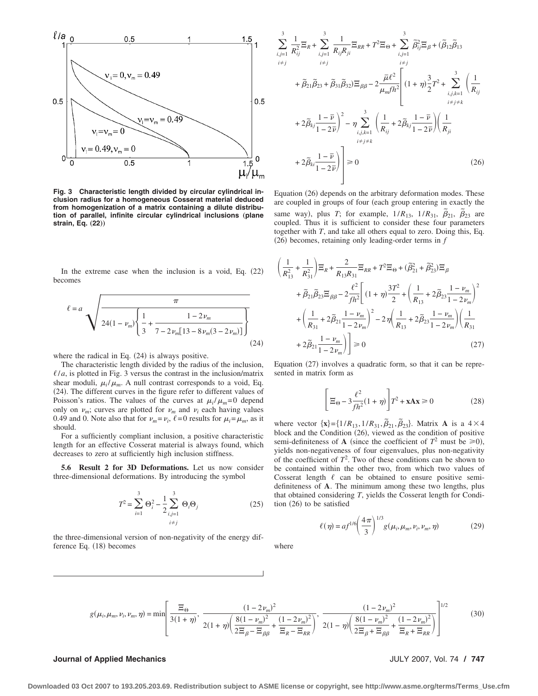

**Fig. 3 Characteristic length divided by circular cylindrical inclusion radius for a homogeneous Cosserat material deduced from homogenization of a matrix containing a dilute distribution of parallel, infinite circular cylindrical inclusions** "**plane strain, Eq.** (22))

In the extreme case when the inclusion is a void, Eq.  $(22)$ becomes

$$
\ell = a \sqrt{\frac{\pi}{24(1 - \nu_m) \left\{ \frac{1}{3} + \frac{1 - 2\nu_m}{7 - 2\nu_m [13 - 8\nu_m (3 - 2\nu_m)]} \right\}}}
$$
(24)

where the radical in Eq.  $(24)$  is always positive.

The characteristic length divided by the radius of the inclusion,  $\ell/a$ , is plotted in Fig. 3 versus the contrast in the inclusion/matrix shear moduli,  $\mu_i / \mu_m$ . A null contrast corresponds to a void, Eq. (24). The different curves in the figure refer to different values of Poisson's ratios. The values of the curves at  $\mu_i / \mu_m = 0$  depend only on  $\nu_m$ ; curves are plotted for  $\nu_m$  and  $\nu_i$  each having values 0.49 and 0. Note also that for  $\nu_m = \nu_i$ ,  $\ell = 0$  results for  $\mu_i = \mu_m$ , as it should.

For a sufficiently compliant inclusion, a positive characteristic length for an effective Cosserat material is always found, which decreases to zero at sufficiently high inclusion stiffness.

**5.6 Result 2 for 3D Deformations.** Let us now consider three-dimensional deformations. By introducing the symbol

$$
T^{2} = \sum_{i=1}^{3} \Theta_{i}^{2} - \frac{1}{2} \sum_{\substack{i,j=1 \ i \neq j}}^{3} \Theta_{i} \Theta_{j}
$$
 (25)

the three-dimensional version of non-negativity of the energy difference Eq.  $(18)$  becomes

$$
\sum_{i,j=1}^{3} \frac{1}{R_{ij}^{2}} \Xi_{R} + \sum_{i,j=1}^{3} \frac{1}{R_{ij}R_{ji}} \Xi_{RR} + T^{2} \Xi_{\Theta} + \sum_{i,j=1}^{3} \tilde{\beta}_{ij}^{2} \Xi_{\beta} + (\tilde{\beta}_{12}\tilde{\beta}_{13} + \tilde{\beta}_{21}\tilde{\beta}_{23} + \tilde{\beta}_{31}\tilde{\beta}_{32}) \Xi_{\beta\beta} - 2 \frac{\bar{\mu}\ell^{2}}{\mu_{m}f\hbar^{2}} \left[ (1+\eta) \frac{3}{2} T^{2} + \sum_{i,j,k=1}^{3} \left( \frac{1}{R_{ij}} + 2\tilde{\beta}_{kj} \frac{1-\bar{\nu}}{1-2\bar{\nu}} \right) + 2\tilde{\beta}_{kj} \frac{1-\bar{\nu}}{1-2\bar{\nu}} \right)^{2} - \eta \sum_{i,j,k=1}^{3} \left( \frac{1}{R_{ij}} + 2\tilde{\beta}_{kj} \frac{1-\bar{\nu}}{1-2\bar{\nu}} \right) \left( \frac{1}{R_{ji}} + 2\tilde{\beta}_{kj} \frac{1-\bar{\nu}}{1-2\bar{\nu}} \right) \Xi_{j} + \tilde{\beta}_{kj} \frac{1-\bar{\nu}}{1-2\bar{\nu}} \right) \ge 0
$$
\n(26)

Equation (26) depends on the arbitrary deformation modes. These are coupled in groups of four (each group entering in exactly the same way), plus *T*; for example,  $1/R_{13}$ ,  $1/R_{31}$ ,  $\tilde{\beta}_{21}$ ,  $\tilde{\beta}_{23}$  are coupled. Thus it is sufficient to consider these four parameters together with *T*, and take all others equal to zero. Doing this, Eq. 26 becomes, retaining only leading-order terms in *f*

$$
\left(\frac{1}{R_{13}^2} + \frac{1}{R_{31}^2}\right) \Xi_R + \frac{2}{R_{13}R_{31}} \Xi_{RR} + T^2 \Xi_{\Theta} + (\tilde{\beta}_{21}^2 + \tilde{\beta}_{23}^2) \Xi_{\beta}
$$
  
+  $\tilde{\beta}_{21} \tilde{\beta}_{23} \Xi_{\beta\beta} - 2 \frac{\ell^2}{fh^2} \Big[ (1 + \eta) \frac{3T^2}{2} + \left(\frac{1}{R_{13}} + 2\tilde{\beta}_{23} \frac{1 - \nu_m}{1 - 2\nu_m}\right)^2$   
+  $\left(\frac{1}{R_{31}} + 2\tilde{\beta}_{21} \frac{1 - \nu_m}{1 - 2\nu_m}\right)^2 - 2\eta \left(\frac{1}{R_{13}} + 2\tilde{\beta}_{23} \frac{1 - \nu_m}{1 - 2\nu_m}\right) \left(\frac{1}{R_{31}} + 2\tilde{\beta}_{21} \frac{1 - \nu_m}{1 - 2\nu_m}\right)$   
+  $2\tilde{\beta}_{21} \frac{1 - \nu_m}{1 - 2\nu_m}\Big] \ge 0$  (27)

Equation  $(27)$  involves a quadratic form, so that it can be represented in matrix form as

$$
\left[\Xi_{\Theta} - 3\frac{\ell^2}{f h^2} (1+\eta)\right] T^2 + \mathbf{x} \mathbf{A} \mathbf{x} \ge 0 \tag{28}
$$

where vector  $\{x\} = \{1/R_{13}, 1/R_{31}, \tilde{\beta}_{21}, \tilde{\beta}_{23}\}.$  Matrix **A** is a  $4 \times 4$ block and the Condition 26, viewed as the condition of positive semi-definiteness of **A** (since the coefficient of  $T^2$  must be  $\geq 0$ ), yields non-negativeness of four eigenvalues, plus non-negativity of the coefficient of  $T^2$ . Two of these conditions can be shown to be contained within the other two, from which two values of Cosserat length  $\ell$  can be obtained to ensure positive semidefiniteness of **A**. The minimum among these two lengths, plus that obtained considering *T*, yields the Cosserat length for Condition  $(26)$  to be satisfied

$$
\ell(\eta) = af^{1/6} \left( \frac{4\pi}{3} \right)^{1/3} g(\mu_i, \mu_m, \nu_i, \nu_m, \eta) \tag{29}
$$

where

$$
g(\mu_i, \mu_m, \nu_i, \nu_m, \eta) = \min \left[ \frac{\Xi_\Theta}{3(1+\eta)}, \frac{(1-2\nu_m)^2}{2(1+\eta)\left(\frac{8(1-\nu_m)^2}{2\Xi_\beta - \Xi_{\beta\beta}} + \frac{(1-2\nu_m)^2}{\Xi_R - \Xi_{RR}}\right)}, \frac{(1-2\nu_m)^2}{2(1-\eta)\left(\frac{8(1-\nu_m)^2}{2\Xi_\beta + \Xi_{\beta\beta}} + \frac{(1-2\nu_m)^2}{\Xi_R + \Xi_{RR}}\right)} \right]^{1/2} \tag{30}
$$

#### **Journal of Applied Mechanics** JULY 2007, Vol. 74 **/ 747**

**Downloaded 03 Oct 2007 to 193.205.203.69. Redistribution subject to ASME license or copyright, see http://www.asme.org/terms/Terms\_Use.cfm**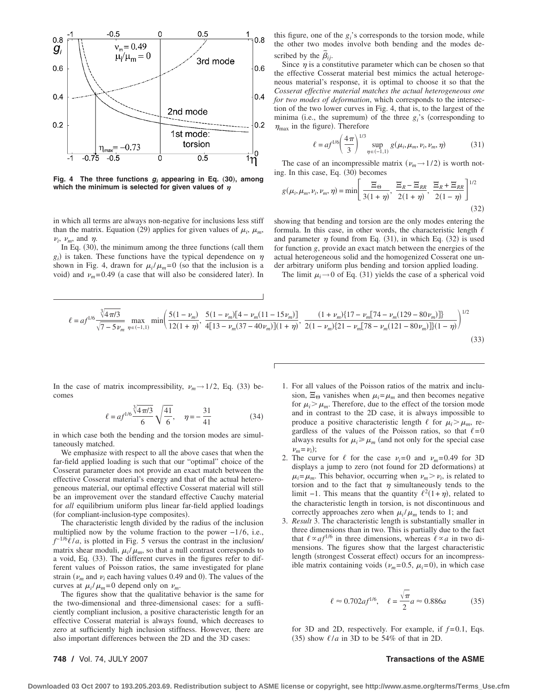

**Fig. 4** The three functions  $g_i$  appearing in Eq. (30), among which the minimum is selected for given values of  $\eta$ 

in which all terms are always non-negative for inclusions less stiff than the matrix. Equation (29) applies for given values of  $\mu_i$ ,  $\mu_m$ ,  $\nu_i$ ,  $\nu_m$ , and  $\eta$ .

In Eq.  $(30)$ , the minimum among the three functions (call them  $g_i$ ) is taken. These functions have the typical dependence on  $\eta$ shown in Fig. 4, drawn for  $\mu_i / \mu_m = 0$  (so that the inclusion is a void) and  $\nu_m$ = 0.49 (a case that will also be considered later). In this figure, one of the  $g_i$ 's corresponds to the torsion mode, while the other two modes involve both bending and the modes described by the  $\tilde{\beta}_{ij}$ .

Since  $\eta$  is a constitutive parameter which can be chosen so that the effective Cosserat material best mimics the actual heterogeneous material's response, it is optimal to choose it so that the *Cosserat effective material matches the actual heterogeneous one for two modes of deformation*, which corresponds to the intersection of the two lower curves in Fig. 4, that is, to the largest of the minima (i.e., the supremum) of the three  $g_i$ 's (corresponding to  $\eta_{\text{max}}$  in the figure). Therefore

$$
\ell = af^{1/6} \left( \frac{4\pi}{3} \right)^{1/3} \sup_{\eta \in (-1,1)} g(\mu_i, \mu_m, \nu_i, \nu_m, \eta) \tag{31}
$$

The case of an incompressible matrix  $(\nu_m \rightarrow 1/2)$  is worth noting. In this case, Eq. (30) becomes

$$
g(\mu_i, \mu_m, \nu_i, \nu_m, \eta) = \min\left[\frac{\Xi_\Theta}{3(1+\eta)}, \frac{\Xi_R - \Xi_{RR}}{2(1+\eta)}, \frac{\Xi_R + \Xi_{RR}}{2(1-\eta)}\right]^{1/2}
$$
\n(32)

showing that bending and torsion are the only modes entering the formula. In this case, in other words, the characteristic length  $\ell$ and parameter  $\eta$  found from Eq. (31), in which Eq. (32) is used for function *g*, provide an exact match between the energies of the actual heterogeneous solid and the homogenized Cosserat one under arbitrary uniform plus bending and torsion applied loading.

The limit  $\mu_i \rightarrow 0$  of Eq. (31) yields the case of a spherical void

$$
\ell = af^{1/6} \frac{\sqrt[3]{4\pi/3}}{\sqrt{7 - 5\nu_m}} \max_{\eta \in (-1,1)} \min \left( \frac{5(1 - \nu_m)}{12(1 + \eta)}, \frac{5(1 - \nu_m)[4 - \nu_m(11 - 15\nu_m)]}{4[13 - \nu_m(37 - 40\nu_m)][1 + \eta)}, \frac{(1 + \nu_m)\{17 - \nu_m[74 - \nu_m(129 - 80\nu_m)]\}}{2(1 - \nu_m)\{21 - \nu_m[78 - \nu_m(121 - 80\nu_m)]\}(1 - \eta)} \right)^{1/2}
$$
\n(33)

In the case of matrix incompressibility,  $\nu_m \rightarrow 1/2$ , Eq. (33) becomes

$$
\ell = af^{1/6} \frac{\sqrt[3]{4\pi/3}}{6} \sqrt{\frac{41}{6}}, \quad \eta = -\frac{31}{41}
$$
 (34)

in which case both the bending and the torsion modes are simultaneously matched.

We emphasize with respect to all the above cases that when the far-field applied loading is such that our "optimal" choice of the Cosserat parameter does not provide an exact match between the effective Cosserat material's energy and that of the actual heterogeneous material, our optimal effective Cosserat material will still be an improvement over the standard effective Cauchy material for *all* equilibrium uniform plus linear far-field applied loadings (for compliant-inclusion-type composites).

The characteristic length divided by the radius of the inclusion multiplied now by the volume fraction to the power  $-1/6$ , i.e.,  $f^{-1/6}\ell/a$ , is plotted in Fig. 5 versus the contrast in the inclusion/ matrix shear moduli,  $\mu_i / \mu_m$ , so that a null contrast corresponds to a void, Eq. 33. The different curves in the figures refer to different values of Poisson ratios, the same investigated for plane strain  $(\nu_m$  and  $\nu_i$  each having values 0.49 and 0). The values of the curves at  $\mu_i / \mu_m = 0$  depend only on  $\nu_m$ .

The figures show that the qualitative behavior is the same for the two-dimensional and three-dimensional cases: for a sufficiently compliant inclusion, a positive characteristic length for an effective Cosserat material is always found, which decreases to zero at sufficiently high inclusion stiffness. However, there are also important differences between the 2D and the 3D cases:

- 1. For all values of the Poisson ratios of the matrix and inclusion,  $\Xi_{\Theta}$  vanishes when  $\mu_i = \mu_m$  and then becomes negative for  $\mu_i > \mu_m$ . Therefore, due to the effect of the torsion mode and in contrast to the 2D case, it is always impossible to produce a positive characteristic length  $\ell$  for  $\mu_i > \mu_m$ , regardless of the values of the Poisson ratios, so that  $\ell = 0$ always results for  $\mu_i \ge \mu_m$  (and not only for the special case  $\nu_m = \nu_i$ ;
- 2. The curve for  $\ell$  for the case  $\nu_i=0$  and  $\nu_m= 0.49$  for 3D displays a jump to zero (not found for 2D deformations) at  $\mu_i = \mu_m$ . This behavior, occurring when  $\nu_m > \nu_i$ , is related to torsion and to the fact that  $\eta$  simultaneously tends to the limit −1. This means that the quantity  $\ell^2(1+\eta)$ , related to the characteristic length in torsion, is not discontinuous and correctly approaches zero when  $\mu_i / \mu_m$  tends to 1; and
- 3. *Result* 3. The characteristic length is substantially smaller in three dimensions than in two. This is partially due to the fact that  $\ell \propto af^{1/6}$  in three dimensions, whereas  $\ell \propto a$  in two dimensions. The figures show that the largest characteristic length (strongest Cosserat effect) occurs for an incompressible matrix containing voids  $(\nu_m= 0.5, \mu_i= 0)$ , in which case

$$
\ell \approx 0.702af^{1/6}, \quad \ell = \frac{\sqrt{\pi}}{2}a \approx 0.886a
$$
 (35)

for 3D and 2D, respectively. For example, if  $f=0.1$ , Eqs. (35) show  $\ell/a$  in 3D to be 54% of that in 2D.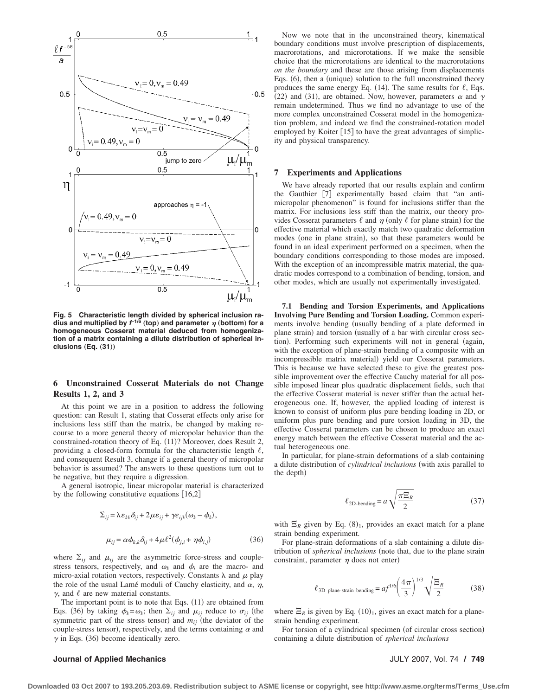

**Fig. 5 Characteristic length divided by spherical inclusion ra-** $\bm{d}$  and multiplied by  $\bm{f}^{\text{-}1/\bar{6}}$  (top) and parameter  $\bm{\eta}$  (bottom) for a **homogeneous Cosserat material deduced from homogenization of a matrix containing a dilute distribution of spherical inclusions** (Eq. (31))

# **6 Unconstrained Cosserat Materials do not Change Results 1, 2, and 3**

At this point we are in a position to address the following question: can Result 1, stating that Cosserat effects only arise for inclusions less stiff than the matrix, be changed by making recourse to a more general theory of micropolar behavior than the constrained-rotation theory of Eq. (11)? Moreover, does Result 2, providing a closed-form formula for the characteristic length  $\ell$ , and consequent Result 3, change if a general theory of micropolar behavior is assumed? The answers to these questions turn out to be negative, but they require a digression.

A general isotropic, linear micropolar material is characterized by the following constitutive equations  $[16,2]$ 

$$
\Sigma_{ij} = \lambda \varepsilon_{kk} \delta_{ij} + 2\mu \varepsilon_{ij} + \gamma e_{ijk} (\omega_k - \phi_k),
$$
  

$$
\mu_{ij} = \alpha \phi_{k,k} \delta_{ij} + 4\mu \ell^2 (\phi_{j,i} + \eta \phi_{i,j})
$$
 (36)

where  $\Sigma_{ij}$  and  $\mu_{ij}$  are the asymmetric force-stress and couplestress tensors, respectively, and  $\omega_k$  and  $\phi_i$  are the macro- and micro-axial rotation vectors, respectively. Constants  $\lambda$  and  $\mu$  play the role of the usual Lamé moduli of Cauchy elasticity, and  $\alpha$ ,  $\eta$ ,  $\gamma$ , and  $\ell$  are new material constants.

The important point is to note that Eqs.  $(11)$  are obtained from Eqs. (36) by taking  $\phi_k = \omega_k$ ; then  $\Sigma_{ij}$  and  $\mu_{ij}$  reduce to  $\sigma_{ij}$  (the symmetric part of the stress tensor) and  $m_{ij}$  (the deviator of the couple-stress tensor), respectively, and the terms containing  $\alpha$  and  $\gamma$  in Eqs. (36) become identically zero.

Now we note that in the unconstrained theory, kinematical boundary conditions must involve prescription of displacements, macrorotations, and microrotations. If we make the sensible choice that the microrotations are identical to the macrorotations *on the boundary* and these are those arising from displacements Eqs.  $(6)$ , then a (unique) solution to the full unconstrained theory produces the same energy Eq. (14). The same results for  $\ell$ , Eqs. (22) and (31), are obtained. Now, however, parameters  $\alpha$  and  $\gamma$ remain undetermined. Thus we find no advantage to use of the more complex unconstrained Cosserat model in the homogenization problem, and indeed we find the constrained-rotation model employed by Koiter [15] to have the great advantages of simplicity and physical transparency.

### **7 Experiments and Applications**

We have already reported that our results explain and confirm the Gauthier [7] experimentally based claim that "an antimicropolar phenomenon" is found for inclusions stiffer than the matrix. For inclusions less stiff than the matrix, our theory provides Cosserat parameters  $\ell$  and  $\eta$  (only  $\ell$  for plane strain) for the effective material which exactly match two quadratic deformation modes (one in plane strain), so that these parameters would be found in an ideal experiment performed on a specimen, when the boundary conditions corresponding to those modes are imposed. With the exception of an incompressible matrix material, the quadratic modes correspond to a combination of bending, torsion, and other modes, which are usually not experimentally investigated.

**7.1 Bending and Torsion Experiments, and Applications Involving Pure Bending and Torsion Loading.** Common experiments involve bending (usually bending of a plate deformed in plane strain) and torsion (usually of a bar with circular cross section). Performing such experiments will not in general (again, with the exception of plane-strain bending of a composite with an incompressible matrix material) yield our Cosserat parameters. This is because we have selected these to give the greatest possible improvement over the effective Cauchy material for all possible imposed linear plus quadratic displacement fields, such that the effective Cosserat material is never stiffer than the actual heterogeneous one. If, however, the applied loading of interest is known to consist of uniform plus pure bending loading in 2D, or uniform plus pure bending and pure torsion loading in 3D, the effective Cosserat parameters can be chosen to produce an exact energy match between the effective Cosserat material and the actual heterogeneous one.

In particular, for plane-strain deformations of a slab containing a dilute distribution of *cylindrical inclusions* (with axis parallel to the depth

$$
\ell_{\text{2D-bending}} = a \sqrt{\frac{\pi \Xi_R}{2}} \tag{37}
$$

with  $\Xi_R$  given by Eq. (8)<sub>1</sub>, provides an exact match for a plane strain bending experiment.

For plane-strain deformations of a slab containing a dilute distribution of *spherical inclusions* (note that, due to the plane strain constraint, parameter  $\eta$  does not enter)

$$
\ell_{\text{3D plane-strain bending}} = af^{1/6} \left(\frac{4\pi}{3}\right)^{1/3} \sqrt{\frac{\Xi_R}{2}}
$$
 (38)

where  $\Xi_R$  is given by Eq. (10)<sub>1</sub>, gives an exact match for a planestrain bending experiment.

For torsion of a cylindrical specimen (of circular cross section) containing a dilute distribution of *spherical inclusions*

#### **Journal of Applied Mechanics** JULY 2007, Vol. 74 **/ 749**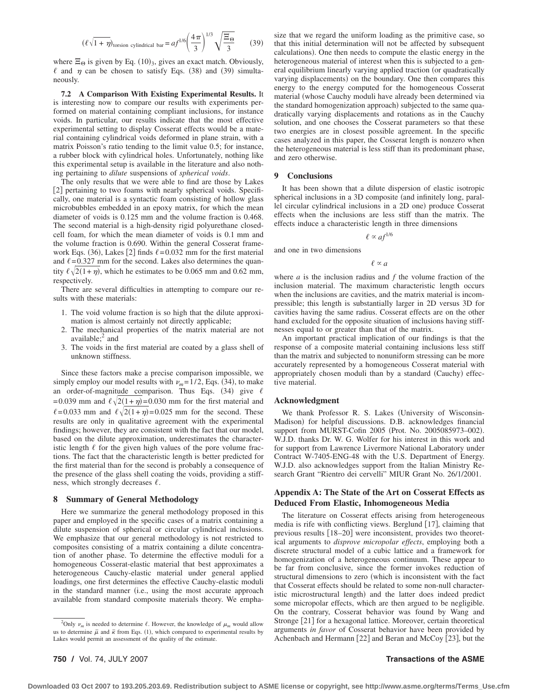$$
(\ell\sqrt{1+\eta})_{\text{torsion cylindrical bar}} = af^{1/6}\left(\frac{4\pi}{3}\right)^{1/3}\sqrt{\frac{\Xi_{\Theta}}{3}}\tag{39}
$$

where  $\Xi_{\Theta}$  is given by Eq. (10)<sub>3</sub>, gives an exact match. Obviously,  $\ell$  and  $\eta$  can be chosen to satisfy Eqs. (38) and (39) simultaneously.

**7.2 A Comparison With Existing Experimental Results.** It is interesting now to compare our results with experiments performed on material containing compliant inclusions, for instance voids. In particular, our results indicate that the most effective experimental setting to display Cosserat effects would be a material containing cylindrical voids deformed in plane strain, with a matrix Poisson's ratio tending to the limit value 0.5; for instance, a rubber block with cylindrical holes. Unfortunately, nothing like this experimental setup is available in the literature and also nothing pertaining to *dilute* suspensions of *spherical voids*.

The only results that we were able to find are those by Lakes [2] pertaining to two foams with nearly spherical voids. Specifically, one material is a syntactic foam consisting of hollow glass microbubbles embedded in an epoxy matrix, for which the mean diameter of voids is 0.125 mm and the volume fraction is 0.468. The second material is a high-density rigid polyurethane closedcell foam, for which the mean diameter of voids is 0.1 mm and the volume fraction is 0.690. Within the general Cosserat framework Eqs. (36), Lakes [2] finds  $\ell$  = 0.032 mm for the first material and  $\ell$  = 0.327 mm for the second. Lakes also determines the quantity  $\ell \sqrt{2(1+\eta)}$ , which he estimates to be 0.065 mm and 0.62 mm, respectively.

There are several difficulties in attempting to compare our results with these materials:

- 1. The void volume fraction is so high that the dilute approximation is almost certainly not directly applicable;
- 2. The mechanical properties of the matrix material are not available; $\frac{2}{3}$  and
- 3. The voids in the first material are coated by a glass shell of unknown stiffness.

Since these factors make a precise comparison impossible, we simply employ our model results with  $\nu_m$ =1/2, Eqs. (34), to make an order-of-magnitude comparison. Thus Eqs. (34) give  $\ell$ =0.039 mm and  $\ell \sqrt{2(1 + \eta)}$ =0.030 mm for the first material and  $\ell$ =0.033 mm and  $\ell \sqrt{2(1+\eta)}$ =0.025 mm for the second. These results are only in qualitative agreement with the experimental findings; however, they are consistent with the fact that our model, based on the dilute approximation, underestimates the characteristic length  $\ell$  for the given high values of the pore volume fractions. The fact that the characteristic length is better predicted for the first material than for the second is probably a consequence of the presence of the glass shell coating the voids, providing a stiffness, which strongly decreases  $\ell$ .

#### **8 Summary of General Methodology**

Here we summarize the general methodology proposed in this paper and employed in the specific cases of a matrix containing a dilute suspension of spherical or circular cylindrical inclusions. We emphasize that our general methodology is not restricted to composites consisting of a matrix containing a dilute concentration of another phase. To determine the effective moduli for a homogeneous Cosserat-elastic material that best approximates a heterogeneous Cauchy-elastic material under general applied loadings, one first determines the effective Cauchy-elastic moduli in the standard manner (i.e., using the most accurate approach available from standard composite materials theory. We empha-

size that we regard the uniform loading as the primitive case, so that this initial determination will not be affected by subsequent calculations). One then needs to compute the elastic energy in the heterogeneous material of interest when this is subjected to a general equilibrium linearly varying applied traction (or quadratically varying displacements) on the boundary. One then compares this energy to the energy computed for the homogeneous Cosserat material (whose Cauchy moduli have already been determined via the standard homogenization approach) subjected to the same quadratically varying displacements and rotations as in the Cauchy solution, and one chooses the Cosserat parameters so that these two energies are in closest possible agreement. In the specific cases analyzed in this paper, the Cosserat length is nonzero when the heterogeneous material is less stiff than its predominant phase, and zero otherwise.

#### **9 Conclusions**

It has been shown that a dilute dispersion of elastic isotropic spherical inclusions in a 3D composite (and infinitely long, parallel circular cylindrical inclusions in a 2D one) produce Cosserat effects when the inclusions are less stiff than the matrix. The effects induce a characteristic length in three dimensions

 $\ell \propto af^{1/6}$ 

and one in two dimensions

 $l \propto a$ 

where *a* is the inclusion radius and *f* the volume fraction of the inclusion material. The maximum characteristic length occurs when the inclusions are cavities, and the matrix material is incompressible; this length is substantially larger in 2D versus 3D for cavities having the same radius. Cosserat effects are on the other hand excluded for the opposite situation of inclusions having stiffnesses equal to or greater than that of the matrix.

An important practical implication of our findings is that the response of a composite material containing inclusions less stiff than the matrix and subjected to nonuniform stressing can be more accurately represented by a homogeneous Cosserat material with appropriately chosen moduli than by a standard (Cauchy) effective material.

#### **Acknowledgment**

We thank Professor R. S. Lakes (University of Wisconsin-Madison) for helpful discussions. D.B. acknowledges financial support from MURST-Cofin 2005 (Prot. No. 2005085973-002). W.J.D. thanks Dr. W. G. Wolfer for his interest in this work and for support from Lawrence Livermore National Laboratory under Contract W-7405-ENG-48 with the U.S. Department of Energy. W.J.D. also acknowledges support from the Italian Ministry Research Grant "Rientro dei cervelli" MIUR Grant No. 26/1/2001.

# **Appendix A: The State of the Art on Cosserat Effects as Deduced From Elastic, Inhomogeneous Media**

The literature on Cosserat effects arising from heterogeneous media is rife with conflicting views. Berglund [17], claiming that previous results [18-20] were inconsistent, provides two theoretical arguments to *disprove micropolar effects*, employing both a discrete structural model of a cubic lattice and a framework for homogenization of a heterogeneous continuum. These appear to be far from conclusive, since the former invokes reduction of structural dimensions to zero (which is inconsistent with the fact that Cosserat effects should be related to some non-null characteristic microstructural length) and the latter does indeed predict some micropolar effects, which are then argued to be negligible. On the contrary, Cosserat behavior was found by Wang and Stronge [21] for a hexagonal lattice. Moreover, certain theoretical arguments *in favor* of Cosserat behavior have been provided by Achenbach and Hermann [22] and Beran and McCoy [23], but the

<sup>&</sup>lt;sup>2</sup>Only  $\nu_m$  is needed to determine  $\ell$ . However, the knowledge of  $\mu_m$  would allow us to determine  $\bar{\mu}$  and  $\bar{\kappa}$  from Eqs. (1), which compared to experimental results by Lakes would permit an assessment of the quality of the estimate.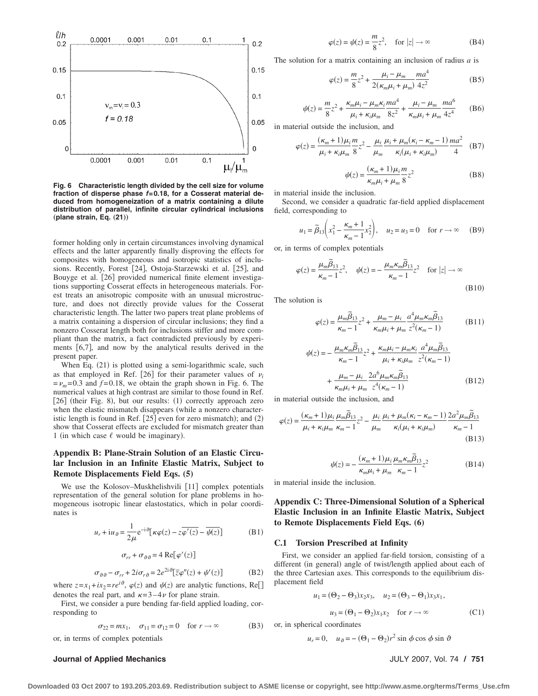

**Fig. 6 Characteristic length divided by the cell size for volume fraction of disperse phase** *f***=0.18, for a Cosserat material deduced from homogeneization of a matrix containing a dilute distribution of parallel, infinite circular cylindrical inclusions** "**plane strain, Eq.** "**21**……

former holding only in certain circumstances involving dynamical effects and the latter apparently finally disproving the effects for composites with homogeneous and isotropic statistics of inclusions. Recently, Forest [24], Ostoja-Starzewski et al. [25], and Bouyge et al. [26] provided numerical finite element investigations supporting Cosserat effects in heterogeneous materials. Forest treats an anisotropic composite with an unusual microstructure, and does not directly provide values for the Cosserat characteristic length. The latter two papers treat plane problems of a matrix containing a dispersion of circular inclusions; they find a nonzero Cosserat length both for inclusions stiffer and more compliant than the matrix, a fact contradicted previously by experiments [6,7], and now by the analytical results derived in the present paper.

When Eq.  $(21)$  is plotted using a semi-logarithmic scale, such as that employed in Ref. [26] for their parameter values of  $v_i$  $= v_m = 0.3$  and  $f = 0.18$ , we obtain the graph shown in Fig. 6. The numerical values at high contrast are similar to those found in Ref. [26] (their Fig. 8), but our results: (1) correctly approach zero when the elastic mismatch disappears (while a nonzero characteristic length is found in Ref.  $[25]$  even for zero mismatch); and  $(2)$ show that Cosserat effects are excluded for mismatch greater than 1 (in which case  $\ell$  would be imaginary).

# **Appendix B: Plane-Strain Solution of an Elastic Circular Inclusion in an Infinite Elastic Matrix, Subject to Remote Displacements Field Eqs. (5)**

We use the Kolosov-Muskhelishvili [11] complex potentials representation of the general solution for plane problems in homogeneous isotropic linear elastostatics, which in polar coordinates is

$$
u_r + iu_{\vartheta} = \frac{1}{2\mu} e^{-i\vartheta} [\kappa \varphi(z) - z \overline{\varphi'(z)} - \overline{\psi(z)}]
$$
(B1)

$$
\sigma_{rr} + \sigma_{\vartheta\vartheta} = 4 \text{ Re}[\varphi'(z)]
$$

$$
\sigma_{\vartheta\vartheta} - \sigma_{rr} + 2i\sigma_{r\vartheta} = 2e^{2i\vartheta} [\overline{z}\varphi''(z) + \psi'(z)] \tag{B2}
$$

where  $z = x_1 + ix_2 = re^{i\vartheta}$ ,  $\varphi(z)$  and  $\psi(z)$  are analytic functions, Re[] denotes the real part, and  $\kappa = 3 - 4 \nu$  for plane strain.

First, we consider a pure bending far-field applied loading, corresponding to

$$
\sigma_{22} = mx_1, \quad \sigma_{11} = \sigma_{12} = 0 \quad \text{for } r \to \infty \tag{B3}
$$

or, in terms of complex potentials

#### **Journal of Applied Mechanics** JULY 2007, Vol. 74 **/ 751**

$$
\varphi(z) = \psi(z) = \frac{m}{8}z^2, \quad \text{for } |z| \to \infty \tag{B4}
$$

The solution for a matrix containing an inclusion of radius *a* is

$$
\varphi(z) = \frac{m}{8}z^2 + \frac{\mu_i - \mu_m}{2(\kappa_m \mu_i + \mu_m)} \frac{ma^4}{4z^2}
$$
 (B5)

$$
\psi(z) = \frac{m}{8}z^2 + \frac{\kappa_m \mu_i - \mu_m \kappa_i m a^4}{\mu_i + \kappa_i \mu_m} \frac{m a^4}{8z^2} + \frac{\mu_i - \mu_m}{\kappa_m \mu_i + \mu_m} \frac{m a^6}{4z^4}
$$
 (B6)

in material outside the inclusion, and

$$
\varphi(z) = \frac{(\kappa_m + 1)\mu_i m}{\mu_i + \kappa_i \mu_m} z^2 - \frac{\mu_i}{\mu_m} \frac{\mu_i + \mu_m(\kappa_i - \kappa_m - 1)}{\kappa_i(\mu_i + \kappa_i \mu_m)} \frac{ma^2}{4} \quad (B7)
$$

$$
\psi(z) = \frac{(\kappa_m + 1)\mu_i m}{\kappa_m \mu_i + \mu_m} \frac{m}{8} z^2
$$
\n(B8)

in material inside the inclusion.

Second, we consider a quadratic far-field applied displacement field, corresponding to

$$
u_1 = \widetilde{\beta}_{13} \left( x_1^2 - \frac{\kappa_m + 1}{\kappa_m - 1} x_2^2 \right), \quad u_2 = u_3 = 0 \quad \text{for } r \to \infty \tag{B9}
$$

or, in terms of complex potentials

$$
\varphi(z) = \frac{\mu_m \tilde{\beta}_{13}}{\kappa_m - 1} z^2, \quad \psi(z) = -\frac{\mu_m \kappa_m \tilde{\beta}_{13}}{\kappa_m - 1} z^2 \quad \text{for } |z| \to \infty
$$
\n(B10)

The solution is

$$
\varphi(z) = \frac{\mu_m \tilde{\beta}_{13}}{\kappa_m - 1} z^2 + \frac{\mu_m - \mu_i}{\kappa_m \mu_i + \mu_m} \frac{a^4 \mu_m \kappa_m \tilde{\beta}_{13}}{z^2(\kappa_m - 1)}
$$
(B11)

$$
\psi(z) = -\frac{\mu_m \kappa_m \tilde{\beta}_{13}}{\kappa_m - 1} z^2 + \frac{\kappa_m \mu_i - \mu_m \kappa_i}{\mu_i + \kappa_i \mu_m} \frac{a^4 \mu_m \tilde{\beta}_{13}}{z^2 (\kappa_m - 1)} + \frac{\mu_m - \mu_i}{\kappa_m \mu_i + \mu_m} \frac{2a^6 \mu_m \kappa_m \tilde{\beta}_{13}}{z^4 (\kappa_m - 1)}
$$
(B12)

in material outside the inclusion, and

$$
\varphi(z) = \frac{(\kappa_m + 1)\mu_i}{\mu_i + \kappa_i \mu_m} \frac{\mu_m \tilde{\beta}_{13}}{\kappa_m - 1} z^2 - \frac{\mu_i}{\mu_m} \frac{\mu_i + \mu_m(\kappa_i - \kappa_m - 1)}{\kappa_i(\mu_i + \kappa_i \mu_m)} \frac{2a^2 \mu_m \tilde{\beta}_{13}}{\kappa_m - 1}
$$
\n(B13)

$$
\psi(z) = -\frac{(\kappa_m + 1)\mu_i}{\kappa_m \mu_i + \mu_m} \frac{\mu_m \kappa_m \tilde{\beta}_{13}}{\kappa_m - 1} z^2
$$
 (B14)

in material inside the inclusion.

**Appendix C: Three-Dimensional Solution of a Spherical Elastic Inclusion in an Infinite Elastic Matrix, Subject to Remote Displacements Field Eqs. (6)**

#### **C.1 Torsion Prescribed at Infinity**

First, we consider an applied far-field torsion, consisting of a different (in general) angle of twist/length applied about each of the three Cartesian axes. This corresponds to the equilibrium displacement field

$$
u_1 = (\Theta_2 - \Theta_3)x_2x_3, \quad u_2 = (\Theta_3 - \Theta_1)x_3x_1,
$$

$$
u_3 = (\Theta_1 - \Theta_2)x_1x_2 \quad \text{for } r \to \infty \tag{C1}
$$

or, in spherical coordinates

$$
u_r = 0
$$
,  $u_{\vartheta} = -(\Theta_1 - \Theta_2)r^2 \sin \phi \cos \phi \sin \vartheta$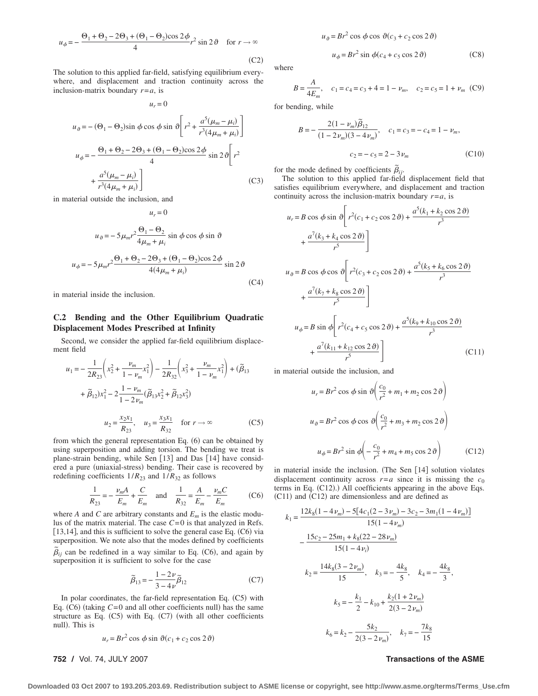$$
u_{\phi} = -\frac{\Theta_1 + \Theta_2 - 2\Theta_3 + (\Theta_1 - \Theta_2)\cos 2\phi}{4} r^2 \sin 2\vartheta \quad \text{for } r \to \infty
$$
\n(C2)

The solution to this applied far-field, satisfying equilibrium everywhere, and displacement and traction continuity across the inclusion-matrix boundary *r*=*a*, is

$$
u_r = 0
$$
  

$$
u_{\vartheta} = -(\Theta_1 - \Theta_2)\sin\phi\cos\phi\sin\vartheta\left[r^2 + \frac{a^5(\mu_m - \mu_i)}{r^3(4\mu_m + \mu_i)}\right]
$$
  

$$
u_{\varphi} = -\frac{\Theta_1 + \Theta_2 - 2\Theta_3 + (\Theta_1 - \Theta_2)\cos 2\phi}{4}\sin 2\vartheta\left[r^2 + \frac{a^5(\mu_m - \mu_i)}{r^3(4\mu_m + \mu_i)}\right]
$$
(C3)

in material outside the inclusion, and

$$
u_{\vartheta} = -5\mu_m r^2 \frac{\Theta_1 - \Theta_2}{4\mu_m + \mu_i} \sin \phi \cos \phi \sin \vartheta
$$
  

$$
u_{\phi} = -5\mu_m r^2 \frac{\Theta_1 + \Theta_2 - 2\Theta_3 + (\Theta_1 - \Theta_2)\cos 2\phi}{4(4\mu_m + \mu_i)} \sin 2\vartheta
$$
 (C4)

 $u_r = 0$ 

in material inside the inclusion.

# **C.2 Bending and the Other Equilibrium Quadratic Displacement Modes Prescribed at Infinity**

Second, we consider the applied far-field equilibrium displacement field

$$
u_1 = -\frac{1}{2R_{23}} \left( x_2^2 + \frac{\nu_m}{1 - \nu_m} x_1^2 \right) - \frac{1}{2R_{32}} \left( x_3^2 + \frac{\nu_m}{1 - \nu_m} x_1^2 \right) + (\tilde{\beta}_{13} + \tilde{\beta}_{12}) x_1^2 - 2 \frac{1 - \nu_m}{1 - 2\nu_m} (\tilde{\beta}_{13} x_2^2 + \tilde{\beta}_{12} x_3^2) u_2 = \frac{x_2 x_1}{R_{23}}, \quad u_3 = \frac{x_3 x_1}{R_{32}} \quad \text{for } r \to \infty
$$
 (C5)

from which the general representation Eq.  $(6)$  can be obtained by using superposition and adding torsion. The bending we treat is plane-strain bending, while Sen [13] and Das [14] have considered a pure (uniaxial-stress) bending. Their case is recovered by redefining coefficients  $1/R_{23}$  and  $1/R_{32}$  as follows

$$
\frac{1}{R_{23}} = -\frac{\nu_m A}{E_m} + \frac{C}{E_m} \quad \text{and} \quad \frac{1}{R_{32}} = \frac{A}{E_m} - \frac{\nu_m C}{E_m} \tag{C6}
$$

where *A* and *C* are arbitrary constants and  $E_m$  is the elastic modulus of the matrix material. The case  $C = 0$  is that analyzed in Refs. [13,14], and this is sufficient to solve the general case Eq. (C6) via superposition. We note also that the modes defined by coefficients  $\tilde{\beta}_{ij}$  can be redefined in a way similar to Eq. (C6), and again by superposition it is sufficient to solve for the case

$$
\widetilde{\beta}_{13} = -\frac{1 - 2\nu}{3 - 4\nu}\widetilde{\beta}_{12}
$$
\n(C7)

In polar coordinates, the far-field representation Eq. (C5) with Eq.  $(C6)$  (taking  $C=0$  and all other coefficients null) has the same structure as Eq.  $(C5)$  with Eq.  $(C7)$  (with all other coefficients null. This is

$$
u_r = Br^2 \cos \phi \sin \vartheta (c_1 + c_2 \cos 2\vartheta)
$$

**752 /** Vol. 74, JULY 2007 **Transactions of the ASME**

$$
u_{\vartheta} = Br^2 \cos \phi \cos \vartheta (c_3 + c_2 \cos 2\vartheta)
$$

where

$$
B = \frac{A}{4E_m}, \quad c_1 = c_4 = c_3 + 4 = 1 - \nu_m, \quad c_2 = c_5 = 1 + \nu_m \text{ (C9)}
$$

 $u_{\phi} = Br^2 \sin \phi (c_4 + c_5 \cos 2\vartheta)$  (C8)

for bending, while

$$
B = -\frac{2(1 - \nu_m)\tilde{\beta}_{12}}{(1 - 2\nu_m)(3 - 4\nu_m)}, \quad c_1 = c_3 = -c_4 = 1 - \nu_m,
$$

$$
c_2 = -c_5 = 2 - 3\nu_m
$$
(C10)

for the mode defined by coefficients  $\tilde{\beta}_{ij}$ .

The solution to this applied far-field displacement field that satisfies equilibrium everywhere, and displacement and traction continuity across the inclusion-matrix boundary  $r = a$ , is

$$
u_r = B \cos \phi \sin \vartheta \left[ r^2 (c_1 + c_2 \cos 2\vartheta) + \frac{a^5 (k_1 + k_2 \cos 2\vartheta)}{r^3} + \frac{a^7 (k_3 + k_4 \cos 2\vartheta)}{r^5} \right]
$$
  

$$
u_{\vartheta} = B \cos \phi \cos \vartheta \left[ r^2 (c_3 + c_2 \cos 2\vartheta) + \frac{a^5 (k_5 + k_6 \cos 2\vartheta)}{r^3} + \frac{a^7 (k_7 + k_8 \cos 2\vartheta)}{r^5} \right]
$$
  

$$
u_{\varphi} = B \sin \phi \left[ r^2 (c_4 + c_5 \cos 2\vartheta) + \frac{a^5 (k_9 + k_{10} \cos 2\vartheta)}{r^3} + \frac{a^7 (k_{11} + k_{12} \cos 2\vartheta)}{r^5} \right]
$$
(C11)

in material outside the inclusion, and

$$
u_r = Br^2 \cos \phi \sin \vartheta \left( \frac{c_0}{r^2} + m_1 + m_2 \cos 2\vartheta \right)
$$
  

$$
u_{\vartheta} = Br^2 \cos \phi \cos \vartheta \left( \frac{c_0}{r^2} + m_3 + m_2 \cos 2\vartheta \right)
$$
  

$$
u_{\varphi} = Br^2 \sin \phi \left( -\frac{c_0}{r^2} + m_4 + m_5 \cos 2\vartheta \right)
$$
 (C12)

in material inside the inclusion. (The Sen [14] solution violates displacement continuity across  $r=a$  since it is missing the  $c_0$ terms in Eq. (C12).) All coefficients appearing in the above Eqs.  $(C11)$  and  $(C12)$  are dimensionless and are defined as

$$
k_1 = \frac{12k_8(1 - 4\nu_m) - 5[4c_1(2 - 3\nu_m) - 3c_2 - 3m_1(1 - 4\nu_m)]}{15(1 - 4\nu_m)}
$$
  

$$
- \frac{15c_2 - 25m_1 + k_8(22 - 28\nu_m)}{15(1 - 4\nu_i)}
$$
  

$$
k_2 = \frac{14k_8(3 - 2\nu_m)}{15}, \quad k_3 = -\frac{4k_8}{5}, \quad k_4 = -\frac{4k_8}{3},
$$
  

$$
k_5 = -\frac{k_1}{2} - k_{10} + \frac{k_2(1 + 2\nu_m)}{2(3 - 2\nu_m)}
$$
  

$$
k_6 = k_2 - \frac{5k_2}{2(3 - 2\nu_m)}, \quad k_7 = -\frac{7k_8}{15}
$$

**Downloaded 03 Oct 2007 to 193.205.203.69. Redistribution subject to ASME license or copyright, see http://www.asme.org/terms/Terms\_Use.cfm**